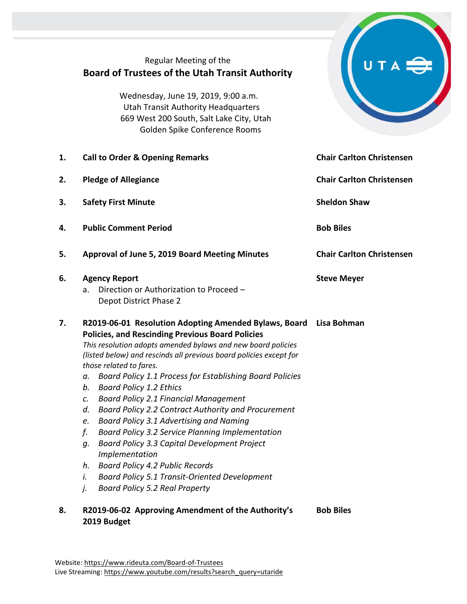|    | Regular Meeting of the<br><b>Board of Trustees of the Utah Transit Authority</b><br>Wednesday, June 19, 2019, 9:00 a.m.<br><b>Utah Transit Authority Headquarters</b><br>669 West 200 South, Salt Lake City, Utah<br>Golden Spike Conference Rooms                                                                                                                                                                                                                                                                                                                                                                                                                                                                                                                                                                                                                         |                                  |
|----|----------------------------------------------------------------------------------------------------------------------------------------------------------------------------------------------------------------------------------------------------------------------------------------------------------------------------------------------------------------------------------------------------------------------------------------------------------------------------------------------------------------------------------------------------------------------------------------------------------------------------------------------------------------------------------------------------------------------------------------------------------------------------------------------------------------------------------------------------------------------------|----------------------------------|
| 1. | <b>Call to Order &amp; Opening Remarks</b>                                                                                                                                                                                                                                                                                                                                                                                                                                                                                                                                                                                                                                                                                                                                                                                                                                 | <b>Chair Carlton Christensen</b> |
| 2. | <b>Pledge of Allegiance</b>                                                                                                                                                                                                                                                                                                                                                                                                                                                                                                                                                                                                                                                                                                                                                                                                                                                | <b>Chair Carlton Christensen</b> |
| 3. | <b>Safety First Minute</b>                                                                                                                                                                                                                                                                                                                                                                                                                                                                                                                                                                                                                                                                                                                                                                                                                                                 | <b>Sheldon Shaw</b>              |
| 4. | <b>Public Comment Period</b>                                                                                                                                                                                                                                                                                                                                                                                                                                                                                                                                                                                                                                                                                                                                                                                                                                               | <b>Bob Biles</b>                 |
| 5. | <b>Approval of June 5, 2019 Board Meeting Minutes</b>                                                                                                                                                                                                                                                                                                                                                                                                                                                                                                                                                                                                                                                                                                                                                                                                                      | <b>Chair Carlton Christensen</b> |
| 6. | <b>Agency Report</b><br>Direction or Authorization to Proceed -<br>a.<br>Depot District Phase 2                                                                                                                                                                                                                                                                                                                                                                                                                                                                                                                                                                                                                                                                                                                                                                            | <b>Steve Meyer</b>               |
| 7. | R2019-06-01 Resolution Adopting Amended Bylaws, Board Lisa Bohman<br><b>Policies, and Rescinding Previous Board Policies</b><br>This resolution adopts amended bylaws and new board policies<br>(listed below) and rescinds all previous board policies except for<br>those related to fares.<br>Board Policy 1.1 Process for Establishing Board Policies<br>а.<br><b>Board Policy 1.2 Ethics</b><br>b.<br><b>Board Policy 2.1 Financial Management</b><br>C.<br>Board Policy 2.2 Contract Authority and Procurement<br>d.<br>Board Policy 3.1 Advertising and Naming<br>e.<br>Board Policy 3.2 Service Planning Implementation<br>f.<br>Board Policy 3.3 Capital Development Project<br>g.<br>Implementation<br><b>Board Policy 4.2 Public Records</b><br>h.<br><b>Board Policy 5.1 Transit-Oriented Development</b><br>i.<br><b>Board Policy 5.2 Real Property</b><br>j. |                                  |
| 8. | R2019-06-02 Approving Amendment of the Authority's<br>2019 Budget                                                                                                                                                                                                                                                                                                                                                                                                                                                                                                                                                                                                                                                                                                                                                                                                          | <b>Bob Biles</b>                 |